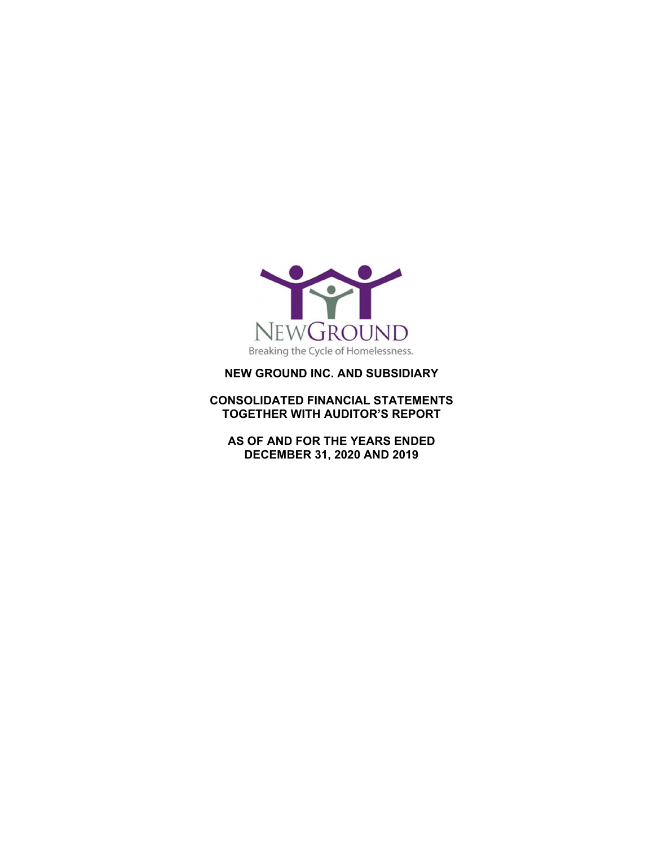

#### **NEW GROUND INC. AND SUBSIDIARY**

**CONSOLIDATED FINANCIAL STATEMENTS TOGETHER WITH AUDITOR'S REPORT** 

**AS OF AND FOR THE YEARS ENDED DECEMBER 31, 2020 AND 2019**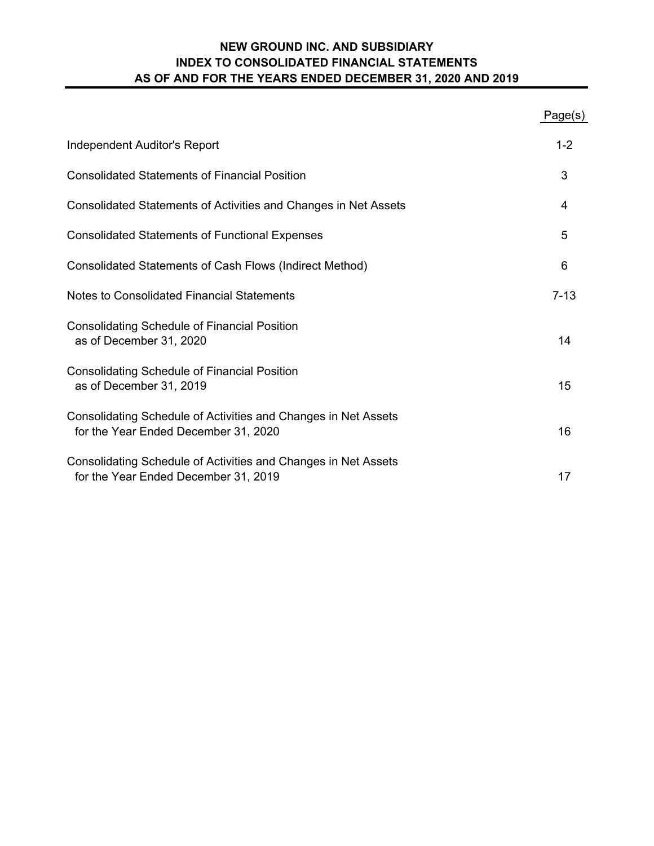# **NEW GROUND INC. AND SUBSIDIARY AS OF AND FOR THE YEARS ENDED DECEMBER 31, 2020 AND 2019 INDEX TO CONSOLIDATED FINANCIAL STATEMENTS**

|                                                                                                        | Page(s)  |
|--------------------------------------------------------------------------------------------------------|----------|
| Independent Auditor's Report                                                                           | $1 - 2$  |
| <b>Consolidated Statements of Financial Position</b>                                                   | 3        |
| Consolidated Statements of Activities and Changes in Net Assets                                        | 4        |
| <b>Consolidated Statements of Functional Expenses</b>                                                  | 5        |
| Consolidated Statements of Cash Flows (Indirect Method)                                                | 6        |
| Notes to Consolidated Financial Statements                                                             | $7 - 13$ |
| <b>Consolidating Schedule of Financial Position</b><br>as of December 31, 2020                         | 14       |
| <b>Consolidating Schedule of Financial Position</b><br>as of December 31, 2019                         | 15       |
| Consolidating Schedule of Activities and Changes in Net Assets<br>for the Year Ended December 31, 2020 | 16       |
| Consolidating Schedule of Activities and Changes in Net Assets<br>for the Year Ended December 31, 2019 | 17       |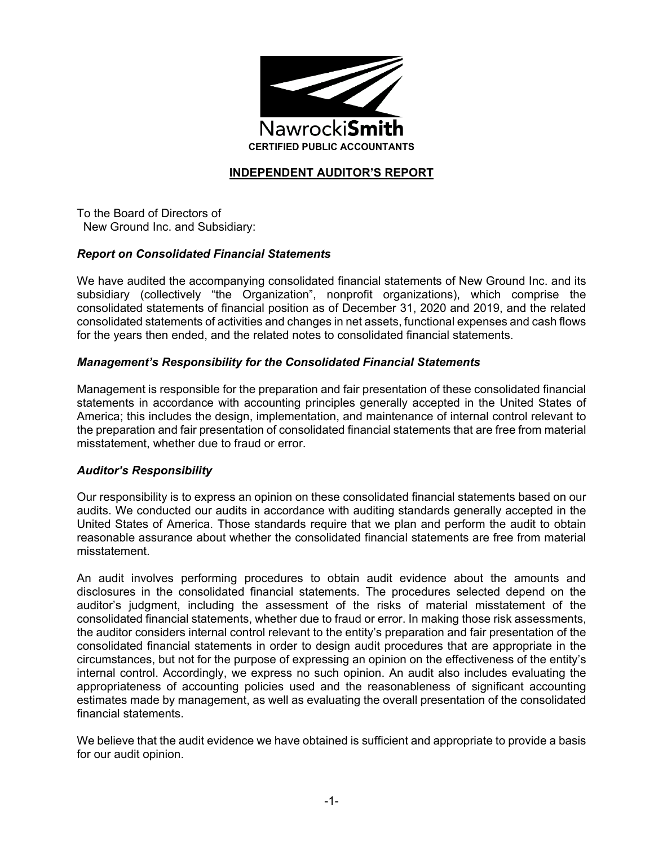

## **INDEPENDENT AUDITOR'S REPORT**

To the Board of Directors of New Ground Inc. and Subsidiary:

#### *Report on Consolidated Financial Statements*

We have audited the accompanying consolidated financial statements of New Ground Inc. and its subsidiary (collectively "the Organization", nonprofit organizations), which comprise the consolidated statements of financial position as of December 31, 2020 and 2019, and the related consolidated statements of activities and changes in net assets, functional expenses and cash flows for the years then ended, and the related notes to consolidated financial statements.

#### *Management's Responsibility for the Consolidated Financial Statements*

Management is responsible for the preparation and fair presentation of these consolidated financial statements in accordance with accounting principles generally accepted in the United States of America; this includes the design, implementation, and maintenance of internal control relevant to the preparation and fair presentation of consolidated financial statements that are free from material misstatement, whether due to fraud or error.

#### *Auditor's Responsibility*

Our responsibility is to express an opinion on these consolidated financial statements based on our audits. We conducted our audits in accordance with auditing standards generally accepted in the United States of America. Those standards require that we plan and perform the audit to obtain reasonable assurance about whether the consolidated financial statements are free from material misstatement.

An audit involves performing procedures to obtain audit evidence about the amounts and disclosures in the consolidated financial statements. The procedures selected depend on the auditor's judgment, including the assessment of the risks of material misstatement of the consolidated financial statements, whether due to fraud or error. In making those risk assessments, the auditor considers internal control relevant to the entity's preparation and fair presentation of the consolidated financial statements in order to design audit procedures that are appropriate in the circumstances, but not for the purpose of expressing an opinion on the effectiveness of the entity's internal control. Accordingly, we express no such opinion. An audit also includes evaluating the appropriateness of accounting policies used and the reasonableness of significant accounting estimates made by management, as well as evaluating the overall presentation of the consolidated financial statements.

We believe that the audit evidence we have obtained is sufficient and appropriate to provide a basis for our audit opinion.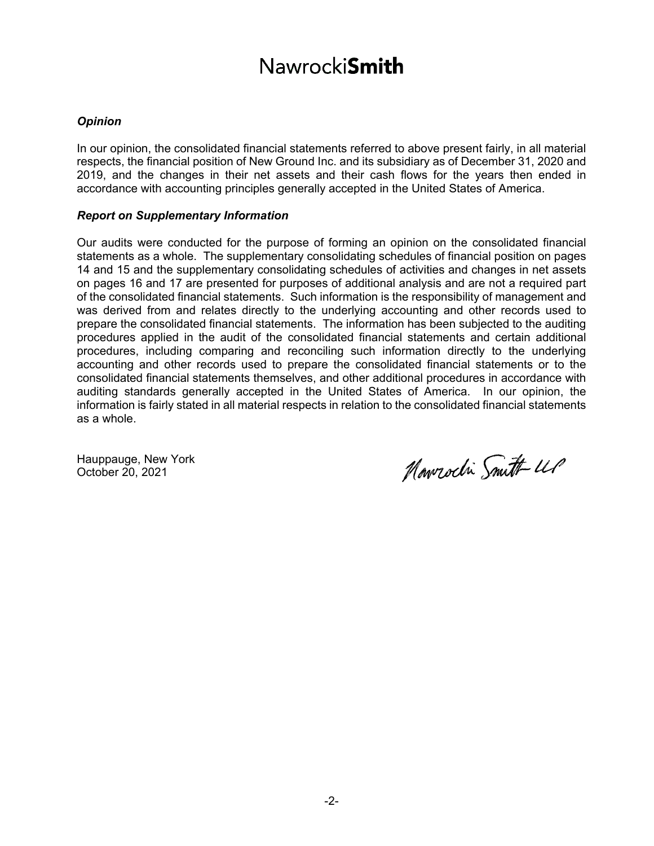# **Nawrocki**Smith

#### *Opinion*

In our opinion, the consolidated financial statements referred to above present fairly, in all material respects, the financial position of New Ground Inc. and its subsidiary as of December 31, 2020 and 2019, and the changes in their net assets and their cash flows for the years then ended in accordance with accounting principles generally accepted in the United States of America.

#### *Report on Supplementary Information*

Our audits were conducted for the purpose of forming an opinion on the consolidated financial statements as a whole. The supplementary consolidating schedules of financial position on pages 14 and 15 and the supplementary consolidating schedules of activities and changes in net assets on pages 16 and 17 are presented for purposes of additional analysis and are not a required part of the consolidated financial statements. Such information is the responsibility of management and was derived from and relates directly to the underlying accounting and other records used to prepare the consolidated financial statements. The information has been subjected to the auditing procedures applied in the audit of the consolidated financial statements and certain additional procedures, including comparing and reconciling such information directly to the underlying accounting and other records used to prepare the consolidated financial statements or to the consolidated financial statements themselves, and other additional procedures in accordance with auditing standards generally accepted in the United States of America. In our opinion, the information is fairly stated in all material respects in relation to the consolidated financial statements as a whole.

Hauppauge, New York October 20, 2021

Nowrocki Smith UP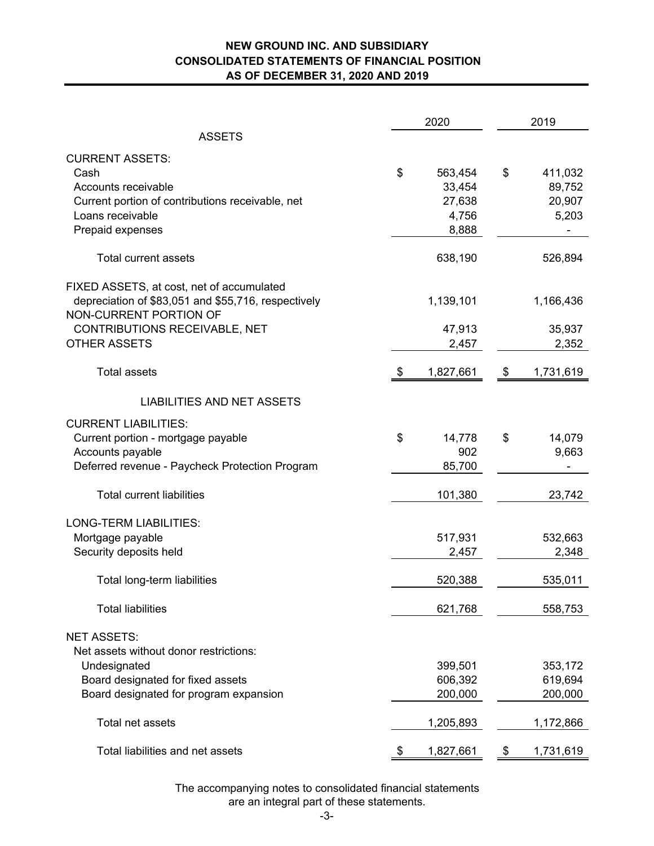#### **NEW GROUND INC. AND SUBSIDIARY CONSOLIDATED STATEMENTS OF FINANCIAL POSITION AS OF DECEMBER 31, 2020 AND 2019**

|                                                                      | 2020             | 2019 |                  |  |
|----------------------------------------------------------------------|------------------|------|------------------|--|
| <b>ASSETS</b>                                                        |                  |      |                  |  |
| <b>CURRENT ASSETS:</b>                                               |                  |      |                  |  |
| Cash                                                                 | \$<br>563,454    | \$   | 411,032          |  |
| Accounts receivable                                                  | 33,454<br>27,638 |      | 89,752<br>20,907 |  |
| Current portion of contributions receivable, net<br>Loans receivable | 4,756            |      | 5,203            |  |
| Prepaid expenses                                                     | 8,888            |      |                  |  |
|                                                                      |                  |      |                  |  |
| <b>Total current assets</b>                                          | 638,190          |      | 526,894          |  |
| FIXED ASSETS, at cost, net of accumulated                            |                  |      |                  |  |
| depreciation of \$83,051 and \$55,716, respectively                  | 1,139,101        |      | 1,166,436        |  |
| NON-CURRENT PORTION OF                                               |                  |      |                  |  |
| CONTRIBUTIONS RECEIVABLE, NET                                        | 47,913           |      | 35,937           |  |
| <b>OTHER ASSETS</b>                                                  | 2,457            |      | 2,352            |  |
| <b>Total assets</b>                                                  | \$<br>1,827,661  | \$   | 1,731,619        |  |
| <b>LIABILITIES AND NET ASSETS</b>                                    |                  |      |                  |  |
|                                                                      |                  |      |                  |  |
| <b>CURRENT LIABILITIES:</b>                                          |                  |      |                  |  |
| Current portion - mortgage payable                                   | \$<br>14,778     | \$   | 14,079           |  |
| Accounts payable                                                     | 902              |      | 9,663            |  |
| Deferred revenue - Paycheck Protection Program                       | 85,700           |      |                  |  |
| <b>Total current liabilities</b>                                     | 101,380          |      | 23,742           |  |
| LONG-TERM LIABILITIES:                                               |                  |      |                  |  |
| Mortgage payable                                                     | 517,931          |      | 532,663          |  |
| Security deposits held                                               | 2,457            |      | 2,348            |  |
|                                                                      |                  |      |                  |  |
| Total long-term liabilities                                          | 520,388          |      | 535,011          |  |
| <b>Total liabilities</b>                                             | 621,768          |      | 558,753          |  |
| <b>NET ASSETS:</b>                                                   |                  |      |                  |  |
| Net assets without donor restrictions:                               |                  |      |                  |  |
| Undesignated                                                         | 399,501          |      | 353,172          |  |
| Board designated for fixed assets                                    | 606,392          |      | 619,694          |  |
| Board designated for program expansion                               | 200,000          |      | 200,000          |  |
| Total net assets                                                     | 1,205,893        |      | 1,172,866        |  |
|                                                                      |                  |      |                  |  |
| Total liabilities and net assets                                     | \$<br>1,827,661  | \$   | 1,731,619        |  |

The accompanying notes to consolidated financial statements are an integral part of these statements.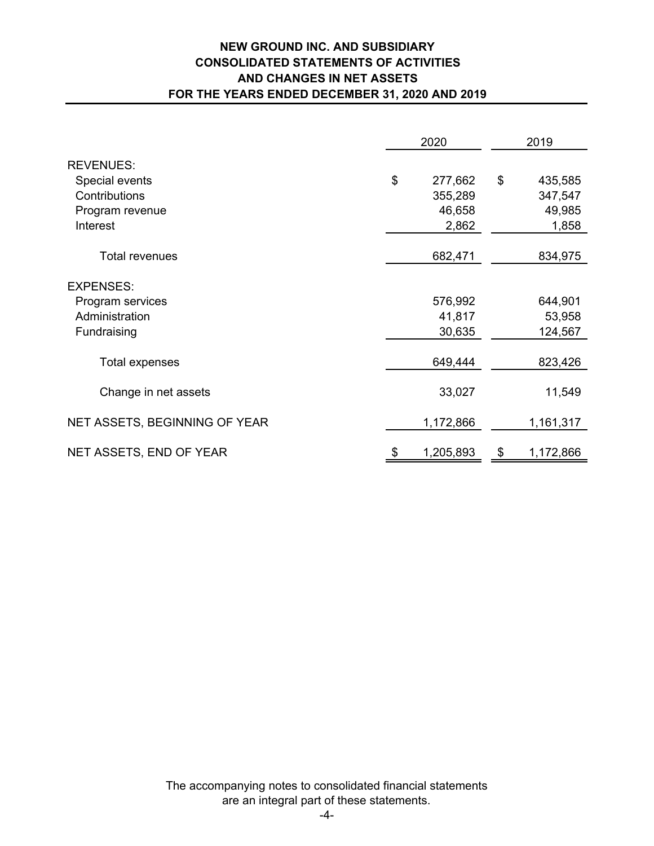# **NEW GROUND INC. AND SUBSIDIARY CONSOLIDATED STATEMENTS OF ACTIVITIES AND CHANGES IN NET ASSETS FOR THE YEARS ENDED DECEMBER 31, 2020 AND 2019**

|                               | 2020 |           |    | 2019      |  |  |
|-------------------------------|------|-----------|----|-----------|--|--|
| <b>REVENUES:</b>              |      |           |    |           |  |  |
| Special events                | \$   | 277,662   | \$ | 435,585   |  |  |
| Contributions                 |      | 355,289   |    | 347,547   |  |  |
| Program revenue               |      | 46,658    |    | 49,985    |  |  |
| Interest                      |      | 2,862     |    | 1,858     |  |  |
| <b>Total revenues</b>         |      | 682,471   |    | 834,975   |  |  |
|                               |      |           |    |           |  |  |
| <b>EXPENSES:</b>              |      |           |    |           |  |  |
| Program services              |      | 576,992   |    | 644,901   |  |  |
| Administration                |      | 41,817    |    | 53,958    |  |  |
| Fundraising                   |      | 30,635    |    | 124,567   |  |  |
| <b>Total expenses</b>         |      | 649,444   |    | 823,426   |  |  |
| Change in net assets          |      | 33,027    |    | 11,549    |  |  |
| NET ASSETS, BEGINNING OF YEAR |      | 1,172,866 |    | 1,161,317 |  |  |
| NET ASSETS, END OF YEAR       |      | 1,205,893 | \$ | 1,172,866 |  |  |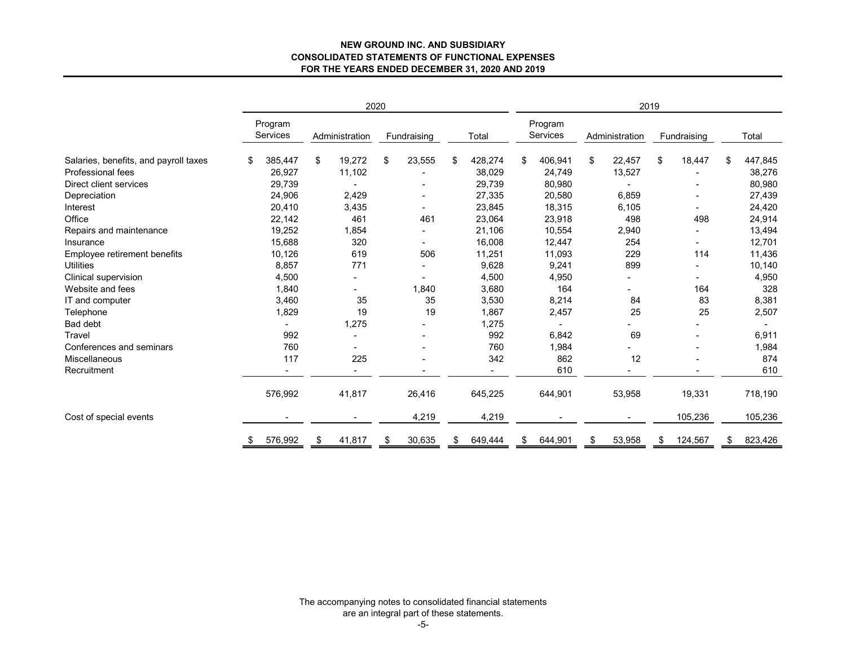#### **NEW GROUND INC. AND SUBSIDIARYCONSOLIDATED STATEMENTS OF FUNCTIONAL EXPENSES FOR THE YEARS ENDED DECEMBER 31, 2020 AND 2019**

|                                       |                            | 2020                     |              |               | 2019                |    |                          |    |             |    |                |
|---------------------------------------|----------------------------|--------------------------|--------------|---------------|---------------------|----|--------------------------|----|-------------|----|----------------|
|                                       | Program<br><b>Services</b> | Administration           | Fundraising  | Total         | Program<br>Services |    | Administration           |    | Fundraising |    | Total          |
| Salaries, benefits, and payroll taxes | \$<br>385,447              | \$<br>19,272             | \$<br>23,555 | \$<br>428,274 | \$<br>406,941       | \$ | 22,457                   | \$ | 18,447      | \$ | 447,845        |
| Professional fees                     | 26,927                     | 11,102                   |              | 38,029        | 24,749              |    | 13,527                   |    |             |    | 38,276         |
| Direct client services                | 29,739                     |                          |              | 29,739        | 80,980              |    |                          |    |             |    | 80,980         |
| Depreciation                          | 24,906                     | 2,429                    |              | 27,335        | 20,580              |    | 6,859                    |    |             |    | 27,439         |
| Interest                              | 20,410                     | 3,435                    |              | 23,845        | 18,315              |    | 6,105                    |    |             |    | 24,420         |
| Office                                | 22,142                     | 461                      | 461          | 23,064        | 23,918              |    | 498                      |    | 498         |    | 24,914         |
| Repairs and maintenance               | 19,252                     | 1,854                    |              | 21,106        | 10,554              |    | 2,940                    |    |             |    | 13,494         |
| Insurance                             | 15,688                     | 320                      |              | 16,008        | 12,447              |    | 254                      |    |             |    | 12,701         |
| Employee retirement benefits          | 10,126                     | 619                      | 506          | 11,251        | 11,093              |    | 229                      |    | 114         |    | 11,436         |
| <b>Utilities</b>                      | 8,857                      | 771                      |              | 9,628         | 9,241               |    | 899                      |    |             |    | 10,140         |
| Clinical supervision                  | 4,500                      | $\overline{\phantom{a}}$ |              | 4,500         | 4,950               |    | Ξ.                       |    |             |    | 4,950          |
| Website and fees                      | 1,840                      |                          | 1,840        | 3,680         | 164                 |    |                          |    | 164         |    | 328            |
| IT and computer                       | 3,460                      | 35                       | 35           | 3,530         | 8,214               |    | 84                       |    | 83          |    | 8,381          |
| Telephone                             | 1,829                      | 19                       | 19           | 1,867         | 2,457               |    | 25                       |    | 25          |    | 2,507          |
| Bad debt                              |                            | 1,275                    |              | 1,275         |                     |    |                          |    |             |    | $\blacksquare$ |
| Travel                                | 992                        | $\blacksquare$           |              | 992           | 6,842               |    | 69                       |    |             |    | 6,911          |
| Conferences and seminars              | 760                        |                          |              | 760           | 1,984               |    |                          |    |             |    | 1,984          |
| Miscellaneous                         | 117                        | 225                      |              | 342           | 862                 |    | 12                       |    |             |    | 874            |
| Recruitment                           | $\blacksquare$             | $\overline{\phantom{a}}$ |              | ۰             | 610                 |    | $\overline{\phantom{a}}$ |    |             |    | 610            |
|                                       | 576,992                    | 41,817                   | 26,416       | 645,225       | 644,901             |    | 53,958                   |    | 19,331      |    | 718,190        |
| Cost of special events                |                            | $\overline{\phantom{a}}$ | 4,219        | 4,219         |                     |    |                          |    | 105,236     |    | 105,236        |
|                                       | \$<br>576,992              | \$<br>41,817             | \$<br>30,635 | \$<br>649,444 | \$<br>644,901       | \$ | 53,958                   | \$ | 124,567     | \$ | 823,426        |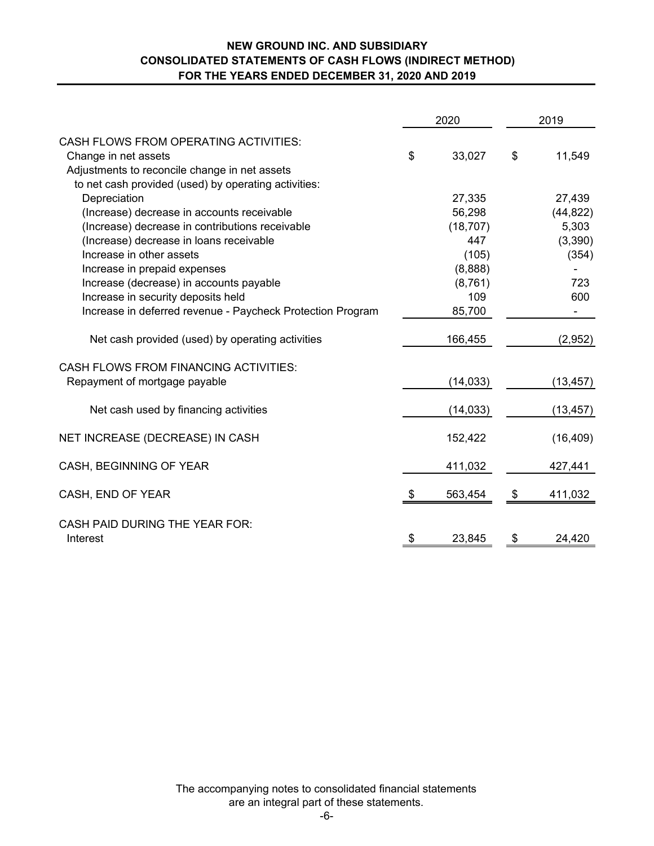## **NEW GROUND INC. AND SUBSIDIARY CONSOLIDATED STATEMENTS OF CASH FLOWS (INDIRECT METHOD) FOR THE YEARS ENDED DECEMBER 31, 2020 AND 2019**

|                                                            |      | 2020      |               | 2019      |
|------------------------------------------------------------|------|-----------|---------------|-----------|
| <b>CASH FLOWS FROM OPERATING ACTIVITIES:</b>               |      |           |               |           |
| Change in net assets                                       | \$   | 33,027    | \$            | 11,549    |
| Adjustments to reconcile change in net assets              |      |           |               |           |
| to net cash provided (used) by operating activities:       |      |           |               |           |
| Depreciation                                               |      | 27,335    |               | 27,439    |
| (Increase) decrease in accounts receivable                 |      | 56,298    |               | (44, 822) |
| (Increase) decrease in contributions receivable            |      | (18, 707) |               | 5,303     |
| (Increase) decrease in loans receivable                    |      | 447       |               | (3,390)   |
| Increase in other assets                                   |      | (105)     |               | (354)     |
| Increase in prepaid expenses                               |      | (8,888)   |               |           |
| Increase (decrease) in accounts payable                    |      | (8,761)   |               | 723       |
| Increase in security deposits held                         |      | 109       |               | 600       |
| Increase in deferred revenue - Paycheck Protection Program |      | 85,700    |               |           |
| Net cash provided (used) by operating activities           |      | 166,455   |               | (2,952)   |
| <b>CASH FLOWS FROM FINANCING ACTIVITIES:</b>               |      |           |               |           |
| Repayment of mortgage payable                              |      | (14, 033) |               | (13, 457) |
| Net cash used by financing activities                      |      | (14, 033) |               | (13, 457) |
| NET INCREASE (DECREASE) IN CASH                            |      | 152,422   |               | (16, 409) |
| CASH, BEGINNING OF YEAR                                    |      | 411,032   |               | 427,441   |
| CASH, END OF YEAR                                          | - \$ | 563,454   | $\frac{3}{2}$ | 411,032   |
| <b>CASH PAID DURING THE YEAR FOR:</b>                      |      |           |               |           |
| Interest                                                   | \$   | 23,845    | \$            | 24,420    |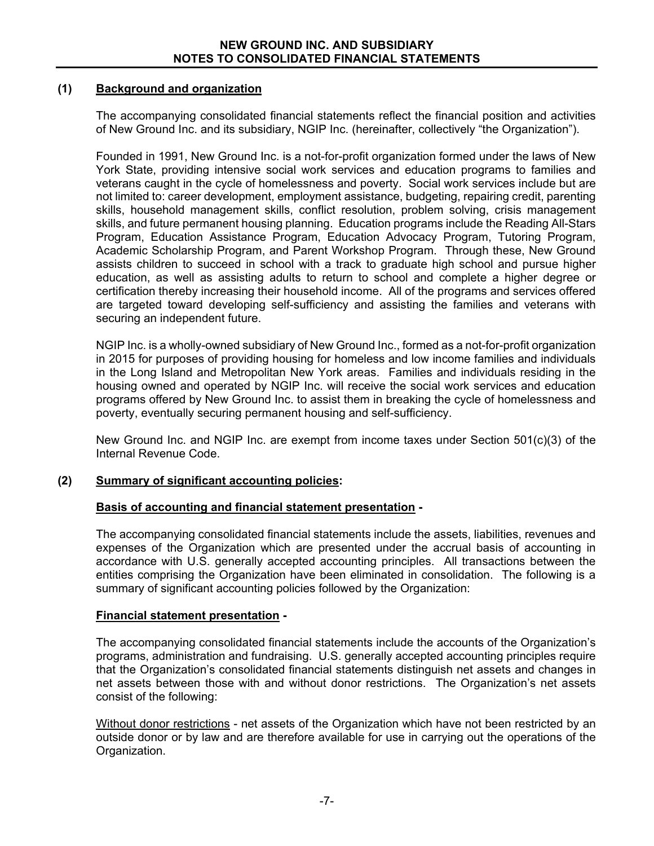## **(1) Background and organization**

 The accompanying consolidated financial statements reflect the financial position and activities of New Ground Inc. and its subsidiary, NGIP Inc. (hereinafter, collectively "the Organization").

 Founded in 1991, New Ground Inc. is a not-for-profit organization formed under the laws of New York State, providing intensive social work services and education programs to families and veterans caught in the cycle of homelessness and poverty. Social work services include but are not limited to: career development, employment assistance, budgeting, repairing credit, parenting skills, household management skills, conflict resolution, problem solving, crisis management skills, and future permanent housing planning. Education programs include the Reading All-Stars Program, Education Assistance Program, Education Advocacy Program, Tutoring Program, Academic Scholarship Program, and Parent Workshop Program. Through these, New Ground assists children to succeed in school with a track to graduate high school and pursue higher education, as well as assisting adults to return to school and complete a higher degree or certification thereby increasing their household income. All of the programs and services offered are targeted toward developing self-sufficiency and assisting the families and veterans with securing an independent future.

 NGIP Inc. is a wholly-owned subsidiary of New Ground Inc., formed as a not-for-profit organization in 2015 for purposes of providing housing for homeless and low income families and individuals in the Long Island and Metropolitan New York areas. Families and individuals residing in the housing owned and operated by NGIP Inc. will receive the social work services and education programs offered by New Ground Inc. to assist them in breaking the cycle of homelessness and poverty, eventually securing permanent housing and self-sufficiency.

 New Ground Inc. and NGIP Inc. are exempt from income taxes under Section 501(c)(3) of the Internal Revenue Code.

# **(2) Summary of significant accounting policies:**

# **Basis of accounting and financial statement presentation -**

The accompanying consolidated financial statements include the assets, liabilities, revenues and expenses of the Organization which are presented under the accrual basis of accounting in accordance with U.S. generally accepted accounting principles. All transactions between the entities comprising the Organization have been eliminated in consolidation. The following is a summary of significant accounting policies followed by the Organization:

#### **Financial statement presentation -**

 The accompanying consolidated financial statements include the accounts of the Organization's programs, administration and fundraising. U.S. generally accepted accounting principles require that the Organization's consolidated financial statements distinguish net assets and changes in net assets between those with and without donor restrictions. The Organization's net assets consist of the following:

 Without donor restrictions - net assets of the Organization which have not been restricted by an outside donor or by law and are therefore available for use in carrying out the operations of the Organization.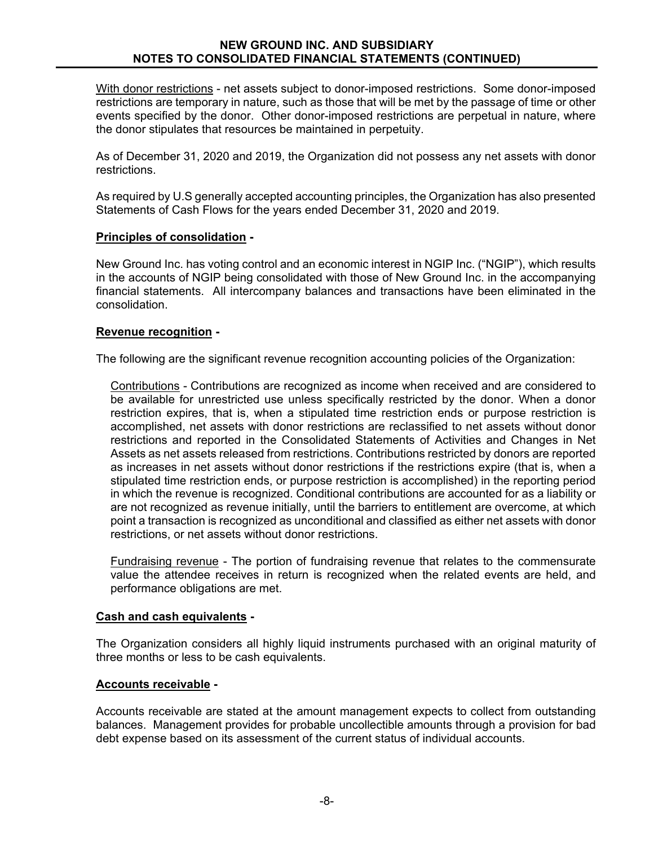With donor restrictions - net assets subject to donor-imposed restrictions. Some donor-imposed restrictions are temporary in nature, such as those that will be met by the passage of time or other events specified by the donor. Other donor-imposed restrictions are perpetual in nature, where the donor stipulates that resources be maintained in perpetuity.

As of December 31, 2020 and 2019, the Organization did not possess any net assets with donor restrictions.

 As required by U.S generally accepted accounting principles, the Organization has also presented Statements of Cash Flows for the years ended December 31, 2020 and 2019.

#### **Principles of consolidation -**

New Ground Inc. has voting control and an economic interest in NGIP Inc. ("NGIP"), which results in the accounts of NGIP being consolidated with those of New Ground Inc. in the accompanying financial statements. All intercompany balances and transactions have been eliminated in the consolidation.

## **Revenue recognition -**

The following are the significant revenue recognition accounting policies of the Organization:

Contributions - Contributions are recognized as income when received and are considered to be available for unrestricted use unless specifically restricted by the donor. When a donor restriction expires, that is, when a stipulated time restriction ends or purpose restriction is accomplished, net assets with donor restrictions are reclassified to net assets without donor restrictions and reported in the Consolidated Statements of Activities and Changes in Net Assets as net assets released from restrictions. Contributions restricted by donors are reported as increases in net assets without donor restrictions if the restrictions expire (that is, when a stipulated time restriction ends, or purpose restriction is accomplished) in the reporting period in which the revenue is recognized. Conditional contributions are accounted for as a liability or are not recognized as revenue initially, until the barriers to entitlement are overcome, at which point a transaction is recognized as unconditional and classified as either net assets with donor restrictions, or net assets without donor restrictions.

Fundraising revenue - The portion of fundraising revenue that relates to the commensurate value the attendee receives in return is recognized when the related events are held, and performance obligations are met.

#### **Cash and cash equivalents -**

 The Organization considers all highly liquid instruments purchased with an original maturity of three months or less to be cash equivalents.

#### **Accounts receivable -**

 Accounts receivable are stated at the amount management expects to collect from outstanding balances. Management provides for probable uncollectible amounts through a provision for bad debt expense based on its assessment of the current status of individual accounts.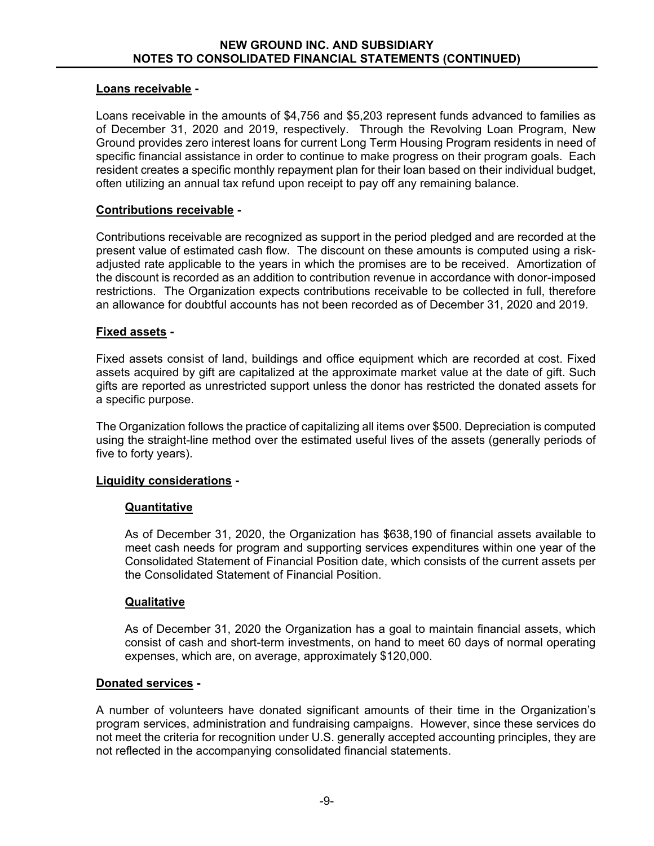#### **Loans receivable -**

 Loans receivable in the amounts of \$4,756 and \$5,203 represent funds advanced to families as of December 31, 2020 and 2019, respectively. Through the Revolving Loan Program, New Ground provides zero interest loans for current Long Term Housing Program residents in need of specific financial assistance in order to continue to make progress on their program goals. Each resident creates a specific monthly repayment plan for their loan based on their individual budget, often utilizing an annual tax refund upon receipt to pay off any remaining balance.

## **Contributions receivable -**

Contributions receivable are recognized as support in the period pledged and are recorded at the present value of estimated cash flow. The discount on these amounts is computed using a riskadjusted rate applicable to the years in which the promises are to be received. Amortization of the discount is recorded as an addition to contribution revenue in accordance with donor-imposed restrictions. The Organization expects contributions receivable to be collected in full, therefore an allowance for doubtful accounts has not been recorded as of December 31, 2020 and 2019.

## **Fixed assets -**

 Fixed assets consist of land, buildings and office equipment which are recorded at cost. Fixed assets acquired by gift are capitalized at the approximate market value at the date of gift. Such gifts are reported as unrestricted support unless the donor has restricted the donated assets for a specific purpose.

 The Organization follows the practice of capitalizing all items over \$500. Depreciation is computed using the straight-line method over the estimated useful lives of the assets (generally periods of five to forty years).

#### **Liquidity considerations -**

#### **Quantitative**

As of December 31, 2020, the Organization has \$638,190 of financial assets available to meet cash needs for program and supporting services expenditures within one year of the Consolidated Statement of Financial Position date, which consists of the current assets per the Consolidated Statement of Financial Position.

#### **Qualitative**

As of December 31, 2020 the Organization has a goal to maintain financial assets, which consist of cash and short-term investments, on hand to meet 60 days of normal operating expenses, which are, on average, approximately \$120,000.

#### **Donated services -**

A number of volunteers have donated significant amounts of their time in the Organization's program services, administration and fundraising campaigns. However, since these services do not meet the criteria for recognition under U.S. generally accepted accounting principles, they are not reflected in the accompanying consolidated financial statements.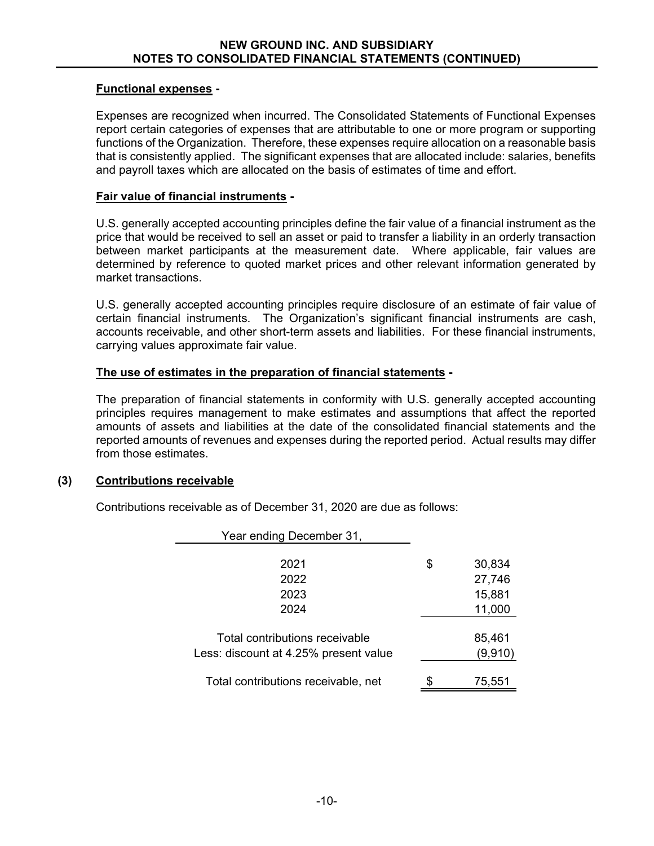## **Functional expenses -**

Expenses are recognized when incurred. The Consolidated Statements of Functional Expenses report certain categories of expenses that are attributable to one or more program or supporting functions of the Organization. Therefore, these expenses require allocation on a reasonable basis that is consistently applied. The significant expenses that are allocated include: salaries, benefits and payroll taxes which are allocated on the basis of estimates of time and effort.

## **Fair value of financial instruments -**

 U.S. generally accepted accounting principles define the fair value of a financial instrument as the price that would be received to sell an asset or paid to transfer a liability in an orderly transaction between market participants at the measurement date. Where applicable, fair values are determined by reference to quoted market prices and other relevant information generated by market transactions.

 U.S. generally accepted accounting principles require disclosure of an estimate of fair value of certain financial instruments. The Organization's significant financial instruments are cash, accounts receivable, and other short-term assets and liabilities. For these financial instruments, carrying values approximate fair value.

# **The use of estimates in the preparation of financial statements -**

 The preparation of financial statements in conformity with U.S. generally accepted accounting principles requires management to make estimates and assumptions that affect the reported amounts of assets and liabilities at the date of the consolidated financial statements and the reported amounts of revenues and expenses during the reported period. Actual results may differ from those estimates.

# **(3) Contributions receivable**

Contributions receivable as of December 31, 2020 are due as follows:

| Year ending December 31,                                                |   |                            |
|-------------------------------------------------------------------------|---|----------------------------|
| 2021<br>2022<br>2023                                                    | S | 30,834<br>27,746<br>15,881 |
| 2024                                                                    |   | 11,000                     |
| Total contributions receivable<br>Less: discount at 4.25% present value |   | 85,461<br>(9,910)          |
| Total contributions receivable, net                                     |   | 75,551                     |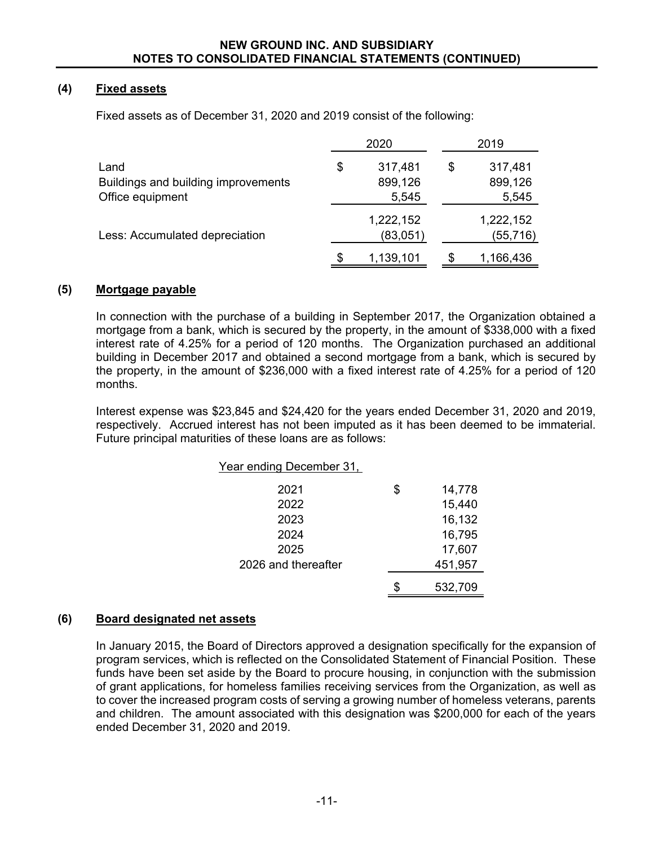# **(4) Fixed assets**

Fixed assets as of December 31, 2020 and 2019 consist of the following:

|                                                    |     | 2020                           |     | 2019                           |
|----------------------------------------------------|-----|--------------------------------|-----|--------------------------------|
| Land<br>Buildings and building improvements        | \$  | 317,481<br>899,126             | \$  | 317,481<br>899,126             |
| Office equipment<br>Less: Accumulated depreciation |     | 5,545<br>1,222,152<br>(83,051) |     | 5,545<br>1,222,152<br>(55,716) |
|                                                    | \$. | 1,139,101                      | \$. | 1,166,436                      |

#### **(5) Mortgage payable**

In connection with the purchase of a building in September 2017, the Organization obtained a mortgage from a bank, which is secured by the property, in the amount of \$338,000 with a fixed interest rate of 4.25% for a period of 120 months. The Organization purchased an additional building in December 2017 and obtained a second mortgage from a bank, which is secured by the property, in the amount of \$236,000 with a fixed interest rate of 4.25% for a period of 120 months.

Interest expense was \$23,845 and \$24,420 for the years ended December 31, 2020 and 2019, respectively. Accrued interest has not been imputed as it has been deemed to be immaterial. Future principal maturities of these loans are as follows:

| Year ending December 31. |              |
|--------------------------|--------------|
| 2021                     | \$<br>14,778 |
| 2022                     | 15,440       |
| 2023                     | 16,132       |
| 2024                     | 16,795       |
| 2025                     | 17,607       |
| 2026 and thereafter      | 451,957      |
|                          |              |

\$ 532,709

#### **(6) Board designated net assets**

In January 2015, the Board of Directors approved a designation specifically for the expansion of program services, which is reflected on the Consolidated Statement of Financial Position. These funds have been set aside by the Board to procure housing, in conjunction with the submission of grant applications, for homeless families receiving services from the Organization, as well as to cover the increased program costs of serving a growing number of homeless veterans, parents and children. The amount associated with this designation was \$200,000 for each of the years ended December 31, 2020 and 2019.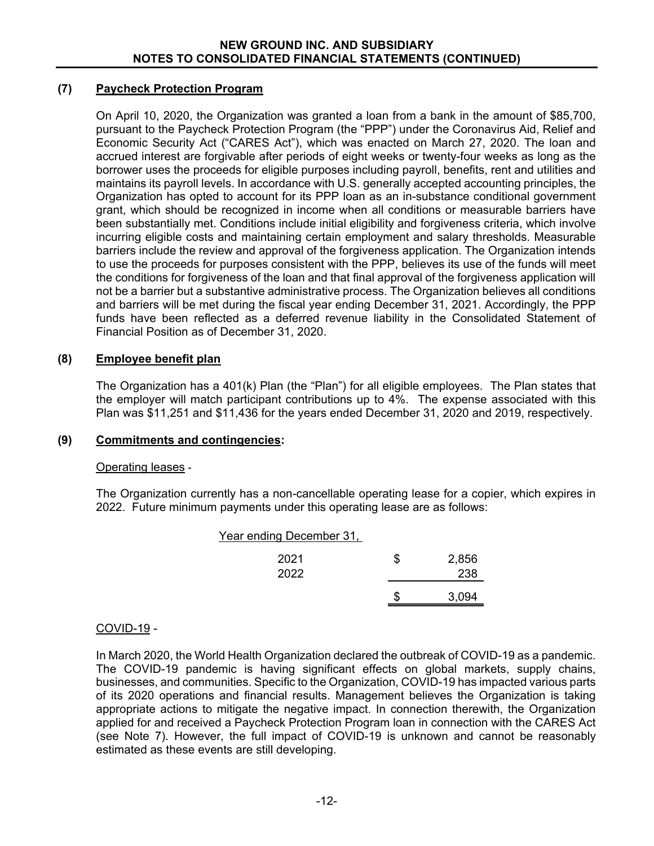## **(7) Paycheck Protection Program**

On April 10, 2020, the Organization was granted a loan from a bank in the amount of \$85,700, pursuant to the Paycheck Protection Program (the "PPP") under the Coronavirus Aid, Relief and Economic Security Act ("CARES Act"), which was enacted on March 27, 2020. The loan and accrued interest are forgivable after periods of eight weeks or twenty-four weeks as long as the borrower uses the proceeds for eligible purposes including payroll, benefits, rent and utilities and maintains its payroll levels. In accordance with U.S. generally accepted accounting principles, the Organization has opted to account for its PPP loan as an in-substance conditional government grant, which should be recognized in income when all conditions or measurable barriers have been substantially met. Conditions include initial eligibility and forgiveness criteria, which involve incurring eligible costs and maintaining certain employment and salary thresholds. Measurable barriers include the review and approval of the forgiveness application. The Organization intends to use the proceeds for purposes consistent with the PPP, believes its use of the funds will meet the conditions for forgiveness of the loan and that final approval of the forgiveness application will not be a barrier but a substantive administrative process. The Organization believes all conditions and barriers will be met during the fiscal year ending December 31, 2021. Accordingly, the PPP funds have been reflected as a deferred revenue liability in the Consolidated Statement of Financial Position as of December 31, 2020.

# **(8) Employee benefit plan**

 The Organization has a 401(k) Plan (the "Plan") for all eligible employees. The Plan states that the employer will match participant contributions up to 4%. The expense associated with this Plan was \$11,251 and \$11,436 for the years ended December 31, 2020 and 2019, respectively.

# **(9) Commitments and contingencies:**

#### Operating leases -

 The Organization currently has a non-cancellable operating lease for a copier, which expires in 2022. Future minimum payments under this operating lease are as follows:

| Year ending December 31, |   |       |
|--------------------------|---|-------|
| 2021                     | S | 2,856 |
| 2022                     |   | 238   |
|                          |   | 3,094 |
|                          |   |       |

# COVID-19 -

In March 2020, the World Health Organization declared the outbreak of COVID-19 as a pandemic. The COVID-19 pandemic is having significant effects on global markets, supply chains, businesses, and communities. Specific to the Organization, COVID-19 has impacted various parts of its 2020 operations and financial results. Management believes the Organization is taking appropriate actions to mitigate the negative impact. In connection therewith, the Organization applied for and received a Paycheck Protection Program loan in connection with the CARES Act (see Note 7). However, the full impact of COVID-19 is unknown and cannot be reasonably estimated as these events are still developing.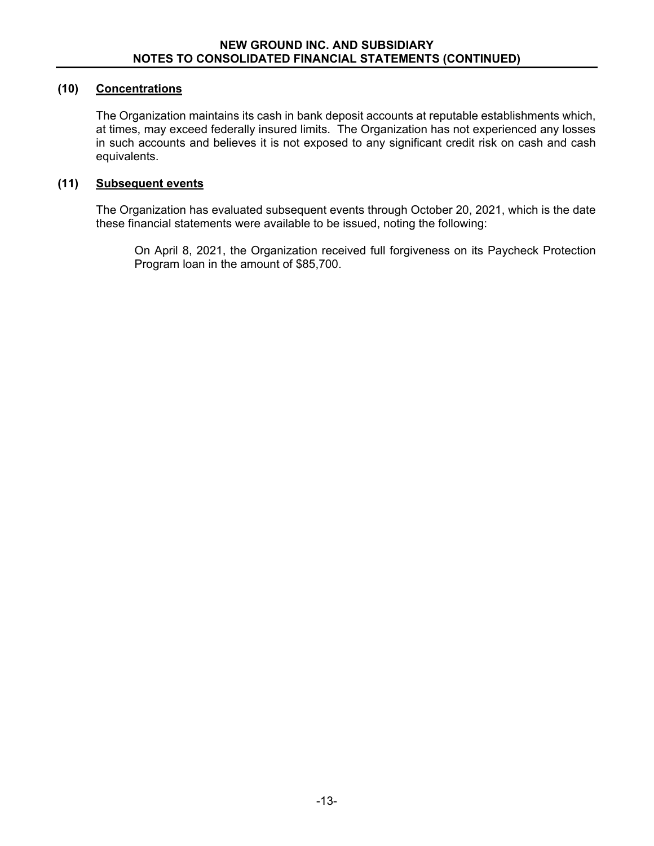## **(10) Concentrations**

The Organization maintains its cash in bank deposit accounts at reputable establishments which, at times, may exceed federally insured limits. The Organization has not experienced any losses in such accounts and believes it is not exposed to any significant credit risk on cash and cash equivalents.

#### **(11) Subsequent events**

The Organization has evaluated subsequent events through October 20, 2021, which is the date these financial statements were available to be issued, noting the following:

On April 8, 2021, the Organization received full forgiveness on its Paycheck Protection Program loan in the amount of \$85,700.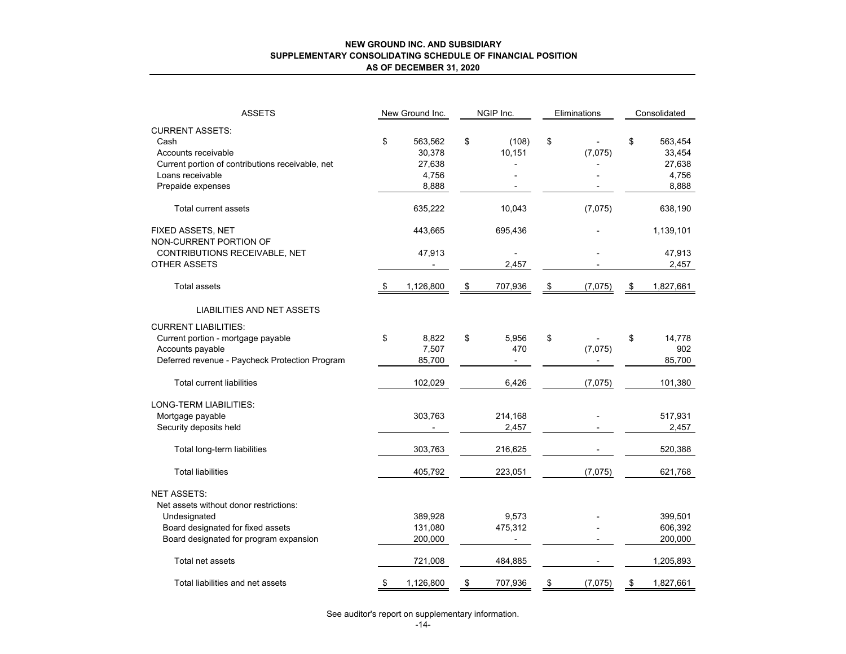#### **NEW GROUND INC. AND SUBSIDIARY SUPPLEMENTARY CONSOLIDATING SCHEDULE OF FINANCIAL POSITION AS OF DECEMBER 31, 2020**

| <b>ASSETS</b>                                    | New Ground Inc. |           | NGIP Inc.     | Eliminations  | Consolidated |           |  |
|--------------------------------------------------|-----------------|-----------|---------------|---------------|--------------|-----------|--|
| <b>CURRENT ASSETS:</b>                           |                 |           |               |               |              |           |  |
| Cash                                             | \$              | 563,562   | \$<br>(108)   | \$            | \$           | 563,454   |  |
| Accounts receivable                              |                 | 30,378    | 10,151        | (7,075)       |              | 33,454    |  |
| Current portion of contributions receivable, net |                 | 27,638    |               |               |              | 27,638    |  |
| Loans receivable                                 |                 | 4,756     |               |               |              | 4,756     |  |
| Prepaide expenses                                |                 | 8,888     |               |               |              | 8,888     |  |
|                                                  |                 |           |               |               |              |           |  |
| Total current assets                             |                 | 635,222   | 10,043        | (7,075)       |              | 638,190   |  |
| FIXED ASSETS, NET                                |                 | 443,665   | 695,436       |               |              | 1,139,101 |  |
| NON-CURRENT PORTION OF                           |                 |           |               |               |              |           |  |
| CONTRIBUTIONS RECEIVABLE, NET                    |                 | 47,913    |               |               |              | 47,913    |  |
| <b>OTHER ASSETS</b>                              |                 |           | 2,457         |               |              | 2,457     |  |
| <b>Total assets</b>                              | \$              | 1,126,800 | \$<br>707,936 | \$<br>(7,075) | \$           | 1,827,661 |  |
| <b>LIABILITIES AND NET ASSETS</b>                |                 |           |               |               |              |           |  |
| <b>CURRENT LIABILITIES:</b>                      |                 |           |               |               |              |           |  |
| Current portion - mortgage payable               | \$              | 8,822     | \$<br>5,956   | \$            | \$           | 14,778    |  |
| Accounts payable                                 |                 | 7,507     | 470           | (7,075)       |              | 902       |  |
| Deferred revenue - Paycheck Protection Program   |                 | 85,700    |               |               |              | 85,700    |  |
| <b>Total current liabilities</b>                 |                 | 102,029   | 6,426         | (7,075)       |              | 101,380   |  |
| LONG-TERM LIABILITIES:                           |                 |           |               |               |              |           |  |
| Mortgage payable                                 |                 | 303,763   | 214,168       |               |              | 517,931   |  |
| Security deposits held                           |                 |           | 2,457         |               |              | 2,457     |  |
|                                                  |                 |           |               |               |              |           |  |
| Total long-term liabilities                      |                 | 303,763   | 216,625       |               |              | 520,388   |  |
| <b>Total liabilities</b>                         |                 | 405,792   | 223,051       | (7,075)       |              | 621,768   |  |
| <b>NET ASSETS:</b>                               |                 |           |               |               |              |           |  |
| Net assets without donor restrictions:           |                 |           |               |               |              |           |  |
| Undesignated                                     |                 | 389,928   | 9,573         |               |              | 399,501   |  |
| Board designated for fixed assets                |                 | 131,080   | 475,312       |               |              | 606,392   |  |
| Board designated for program expansion           |                 | 200,000   |               |               |              | 200,000   |  |
| Total net assets                                 |                 | 721,008   | 484,885       |               |              | 1,205,893 |  |
| Total liabilities and net assets                 | \$              | 1,126,800 | \$<br>707,936 | \$<br>(7,075) | \$           | 1,827,661 |  |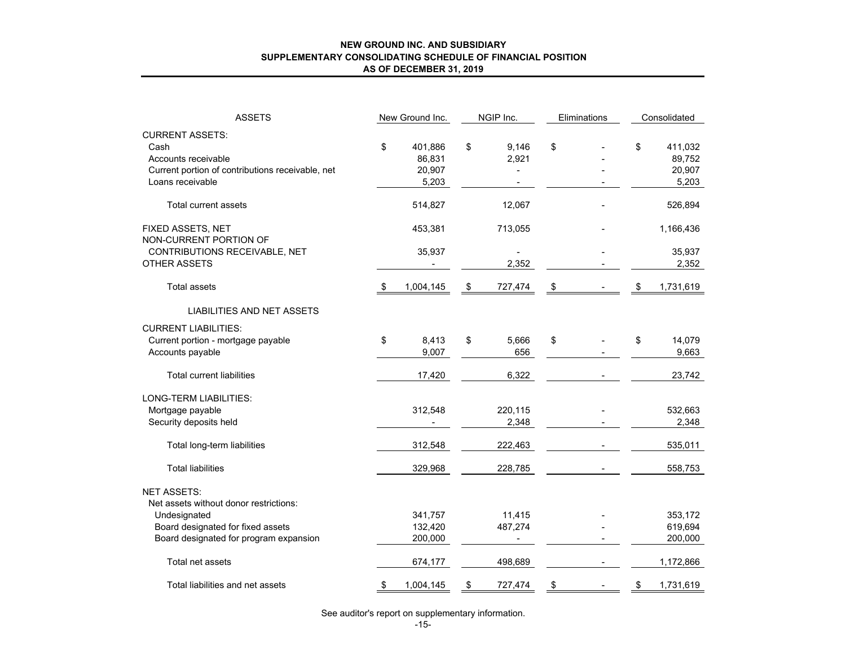#### **NEW GROUND INC. AND SUBSIDIARY SUPPLEMENTARY CONSOLIDATING SCHEDULE OF FINANCIAL POSITION AS OF DECEMBER 31, 2019**

| <b>ASSETS</b>                                    | New Ground Inc. | NGIP Inc.      |               | Eliminations | Consolidated    |
|--------------------------------------------------|-----------------|----------------|---------------|--------------|-----------------|
| <b>CURRENT ASSETS:</b>                           |                 |                |               |              |                 |
| Cash                                             | \$<br>401,886   | \$<br>9,146    | \$            |              | \$<br>411,032   |
| Accounts receivable                              | 86,831          | 2,921          |               |              | 89,752          |
| Current portion of contributions receivable, net | 20,907          |                |               |              | 20,907          |
| Loans receivable                                 | 5,203           |                |               |              | 5,203           |
|                                                  |                 |                |               |              |                 |
| Total current assets                             | 514,827         | 12,067         |               |              | 526,894         |
| FIXED ASSETS, NET<br>NON-CURRENT PORTION OF      | 453,381         | 713,055        |               |              | 1,166,436       |
| CONTRIBUTIONS RECEIVABLE, NET                    | 35,937          | $\blacksquare$ |               |              | 35,937          |
| <b>OTHER ASSETS</b>                              |                 | 2,352          |               |              | 2,352           |
| <b>Total assets</b>                              | \$<br>1,004,145 | \$<br>727,474  | $\frac{1}{2}$ |              | \$<br>1,731,619 |
| LIABILITIES AND NET ASSETS                       |                 |                |               |              |                 |
| <b>CURRENT LIABILITIES:</b>                      |                 |                |               |              |                 |
| Current portion - mortgage payable               | \$<br>8,413     | \$<br>5,666    | \$            |              | \$<br>14,079    |
| Accounts payable                                 | 9,007           | 656            |               |              | 9,663           |
| <b>Total current liabilities</b>                 | 17,420          | 6,322          |               |              | 23,742          |
| LONG-TERM LIABILITIES:                           |                 |                |               |              |                 |
| Mortgage payable                                 | 312,548         | 220,115        |               |              | 532,663         |
| Security deposits held                           |                 | 2,348          |               |              | 2,348           |
|                                                  |                 |                |               |              |                 |
| Total long-term liabilities                      | 312,548         | 222,463        |               |              | 535,011         |
| <b>Total liabilities</b>                         | 329,968         | 228,785        |               |              | 558,753         |
| <b>NET ASSETS:</b>                               |                 |                |               |              |                 |
| Net assets without donor restrictions:           |                 |                |               |              |                 |
| Undesignated                                     | 341,757         | 11,415         |               |              | 353,172         |
| Board designated for fixed assets                | 132,420         | 487,274        |               |              | 619,694         |
| Board designated for program expansion           | 200,000         |                |               |              | 200,000         |
| Total net assets                                 | 674,177         | 498,689        |               |              | 1,172,866       |
| Total liabilities and net assets                 | \$<br>1,004,145 | \$<br>727,474  | \$            |              | \$<br>1,731,619 |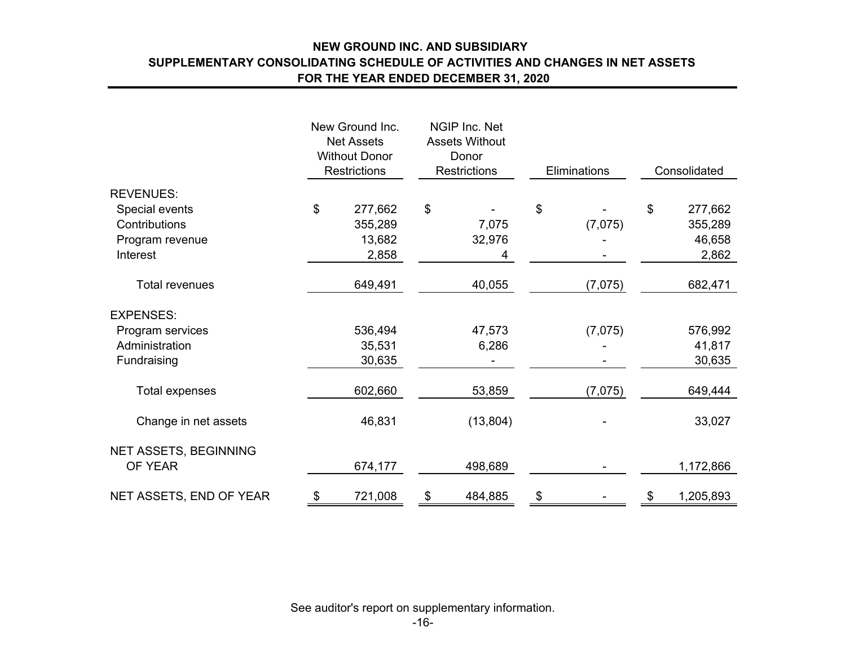# **NEW GROUND INC. AND SUBSIDIARY SUPPLEMENTARY CONSOLIDATING SCHEDULE OF ACTIVITIES AND CHANGES IN NET ASSETS FOR THE YEAR ENDED DECEMBER 31, 2020**

|                         |                | New Ground Inc.<br><b>Net Assets</b><br><b>Without Donor</b><br><b>Restrictions</b> | NGIP Inc. Net<br><b>Assets Without</b><br>Donor<br><b>Restrictions</b> | Eliminations |         | Consolidated    |
|-------------------------|----------------|-------------------------------------------------------------------------------------|------------------------------------------------------------------------|--------------|---------|-----------------|
| <b>REVENUES:</b>        |                |                                                                                     |                                                                        |              |         |                 |
| Special events          | $\mathfrak{S}$ | 277,662                                                                             | \$                                                                     | \$           |         | \$<br>277,662   |
| Contributions           |                | 355,289                                                                             | 7,075                                                                  |              | (7,075) | 355,289         |
| Program revenue         |                | 13,682                                                                              | 32,976                                                                 |              |         | 46,658          |
| Interest                |                | 2,858                                                                               | 4                                                                      |              |         | 2,862           |
| <b>Total revenues</b>   |                | 649,491                                                                             | 40,055                                                                 |              | (7,075) | 682,471         |
| <b>EXPENSES:</b>        |                |                                                                                     |                                                                        |              |         |                 |
| Program services        |                | 536,494                                                                             | 47,573                                                                 |              | (7,075) | 576,992         |
| Administration          |                | 35,531                                                                              | 6,286                                                                  |              |         | 41,817          |
| Fundraising             |                | 30,635                                                                              |                                                                        |              |         | 30,635          |
| <b>Total expenses</b>   |                | 602,660                                                                             | 53,859                                                                 |              | (7,075) | 649,444         |
| Change in net assets    |                | 46,831                                                                              | (13, 804)                                                              |              |         | 33,027          |
| NET ASSETS, BEGINNING   |                |                                                                                     |                                                                        |              |         |                 |
| OF YEAR                 |                | 674,177                                                                             | 498,689                                                                |              |         | 1,172,866       |
| NET ASSETS, END OF YEAR | \$             | 721,008                                                                             | \$<br>484,885                                                          | \$           |         | \$<br>1,205,893 |